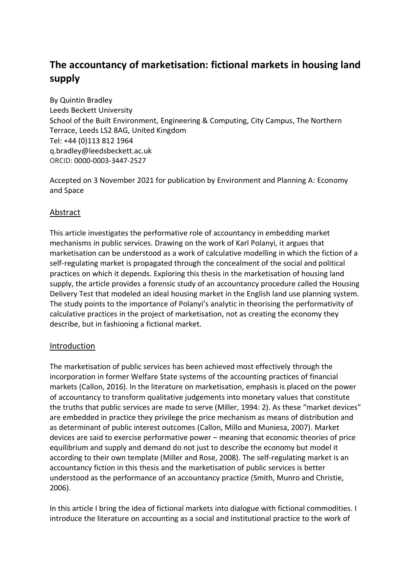# **The accountancy of marketisation: fictional markets in housing land supply**

By Quintin Bradley Leeds Beckett University School of the Built Environment, Engineering & Computing, City Campus, The Northern Terrace, Leeds LS2 8AG, United Kingdom Tel: +44 (0)113 812 1964 q.bradley@leedsbeckett.ac.uk ORCID: 0000-0003-3447-2527

Accepted on 3 November 2021 for publication by Environment and Planning A: Economy and Space

# Abstract

This article investigates the performative role of accountancy in embedding market mechanisms in public services. Drawing on the work of Karl Polanyi, it argues that marketisation can be understood as a work of calculative modelling in which the fiction of a self-regulating market is propagated through the concealment of the social and political practices on which it depends. Exploring this thesis in the marketisation of housing land supply, the article provides a forensic study of an accountancy procedure called the Housing Delivery Test that modeled an ideal housing market in the English land use planning system. The study points to the importance of Polanyi's analytic in theorising the performativity of calculative practices in the project of marketisation, not as creating the economy they describe, but in fashioning a fictional market.

# Introduction

The marketisation of public services has been achieved most effectively through the incorporation in former Welfare State systems of the accounting practices of financial markets (Callon, 2016). In the literature on marketisation, emphasis is placed on the power of accountancy to transform qualitative judgements into monetary values that constitute the truths that public services are made to serve (Miller, 1994: 2). As these "market devices" are embedded in practice they privilege the price mechanism as means of distribution and as determinant of public interest outcomes (Callon, Millo and Muniesa, 2007). Market devices are said to exercise performative power – meaning that economic theories of price equilibrium and supply and demand do not just to describe the economy but model it according to their own template (Miller and Rose, 2008). The self-regulating market is an accountancy fiction in this thesis and the marketisation of public services is better understood as the performance of an accountancy practice (Smith, Munro and Christie, 2006).

In this article I bring the idea of fictional markets into dialogue with fictional commodities. I introduce the literature on accounting as a social and institutional practice to the work of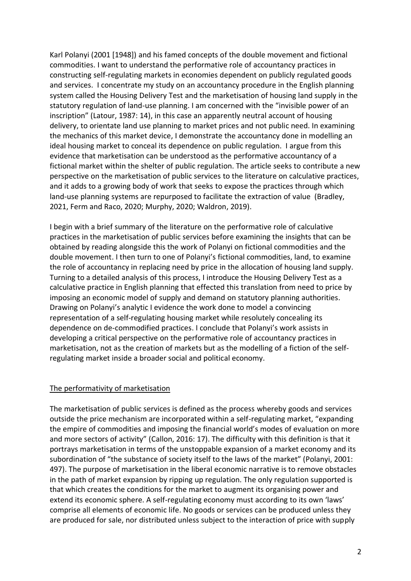Karl Polanyi (2001 [1948]) and his famed concepts of the double movement and fictional commodities. I want to understand the performative role of accountancy practices in constructing self-regulating markets in economies dependent on publicly regulated goods and services. I concentrate my study on an accountancy procedure in the English planning system called the Housing Delivery Test and the marketisation of housing land supply in the statutory regulation of land-use planning. I am concerned with the "invisible power of an inscription" (Latour, 1987: 14), in this case an apparently neutral account of housing delivery, to orientate land use planning to market prices and not public need. In examining the mechanics of this market device, I demonstrate the accountancy done in modelling an ideal housing market to conceal its dependence on public regulation. I argue from this evidence that marketisation can be understood as the performative accountancy of a fictional market within the shelter of public regulation. The article seeks to contribute a new perspective on the marketisation of public services to the literature on calculative practices, and it adds to a growing body of work that seeks to expose the practices through which land-use planning systems are repurposed to facilitate the extraction of value (Bradley, 2021, Ferm and Raco, 2020; Murphy, 2020; Waldron, 2019).

I begin with a brief summary of the literature on the performative role of calculative practices in the marketisation of public services before examining the insights that can be obtained by reading alongside this the work of Polanyi on fictional commodities and the double movement. I then turn to one of Polanyi's fictional commodities, land, to examine the role of accountancy in replacing need by price in the allocation of housing land supply. Turning to a detailed analysis of this process, I introduce the Housing Delivery Test as a calculative practice in English planning that effected this translation from need to price by imposing an economic model of supply and demand on statutory planning authorities. Drawing on Polanyi's analytic I evidence the work done to model a convincing representation of a self-regulating housing market while resolutely concealing its dependence on de-commodified practices. I conclude that Polanyi's work assists in developing a critical perspective on the performative role of accountancy practices in marketisation, not as the creation of markets but as the modelling of a fiction of the selfregulating market inside a broader social and political economy.

# The performativity of marketisation

The marketisation of public services is defined as the process whereby goods and services outside the price mechanism are incorporated within a self-regulating market, "expanding the empire of commodities and imposing the financial world's modes of evaluation on more and more sectors of activity" (Callon, 2016: 17). The difficulty with this definition is that it portrays marketisation in terms of the unstoppable expansion of a market economy and its subordination of "the substance of society itself to the laws of the market" (Polanyi, 2001: 497). The purpose of marketisation in the liberal economic narrative is to remove obstacles in the path of market expansion by ripping up regulation. The only regulation supported is that which creates the conditions for the market to augment its organising power and extend its economic sphere. A self-regulating economy must according to its own 'laws' comprise all elements of economic life. No goods or services can be produced unless they are produced for sale, nor distributed unless subject to the interaction of price with supply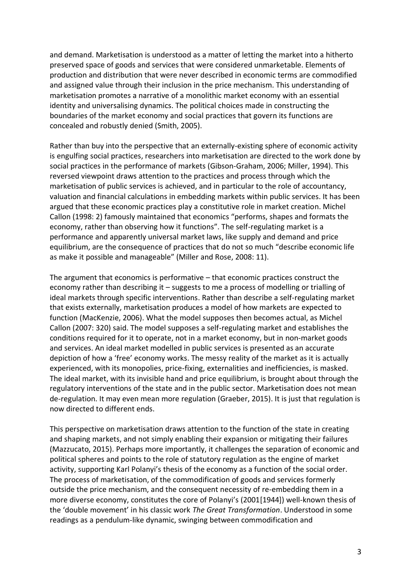and demand. Marketisation is understood as a matter of letting the market into a hitherto preserved space of goods and services that were considered unmarketable. Elements of production and distribution that were never described in economic terms are commodified and assigned value through their inclusion in the price mechanism. This understanding of marketisation promotes a narrative of a monolithic market economy with an essential identity and universalising dynamics. The political choices made in constructing the boundaries of the market economy and social practices that govern its functions are concealed and robustly denied (Smith, 2005).

Rather than buy into the perspective that an externally-existing sphere of economic activity is engulfing social practices, researchers into marketisation are directed to the work done by social practices in the performance of markets (Gibson-Graham, 2006; Miller, 1994). This reversed viewpoint draws attention to the practices and process through which the marketisation of public services is achieved, and in particular to the role of accountancy, valuation and financial calculations in embedding markets within public services. It has been argued that these economic practices play a constitutive role in market creation. Michel Callon (1998: 2) famously maintained that economics "performs, shapes and formats the economy, rather than observing how it functions". The self-regulating market is a performance and apparently universal market laws, like supply and demand and price equilibrium, are the consequence of practices that do not so much "describe economic life as make it possible and manageable" (Miller and Rose, 2008: 11).

The argument that economics is performative – that economic practices construct the economy rather than describing it – suggests to me a process of modelling or trialling of ideal markets through specific interventions. Rather than describe a self-regulating market that exists externally, marketisation produces a model of how markets are expected to function (MacKenzie, 2006). What the model supposes then becomes actual, as Michel Callon (2007: 320) said. The model supposes a self-regulating market and establishes the conditions required for it to operate, not in a market economy, but in non-market goods and services. An ideal market modelled in public services is presented as an accurate depiction of how a 'free' economy works. The messy reality of the market as it is actually experienced, with its monopolies, price-fixing, externalities and inefficiencies, is masked. The ideal market, with its invisible hand and price equilibrium, is brought about through the regulatory interventions of the state and in the public sector. Marketisation does not mean de-regulation. It may even mean more regulation (Graeber, 2015). It is just that regulation is now directed to different ends.

This perspective on marketisation draws attention to the function of the state in creating and shaping markets, and not simply enabling their expansion or mitigating their failures (Mazzucato, 2015). Perhaps more importantly, it challenges the separation of economic and political spheres and points to the role of statutory regulation as the engine of market activity, supporting Karl Polanyi's thesis of the economy as a function of the social order. The process of marketisation, of the commodification of goods and services formerly outside the price mechanism, and the consequent necessity of re-embedding them in a more diverse economy, constitutes the core of Polanyi's (2001[1944]) well-known thesis of the 'double movement' in his classic work *The Great Transformation*. Understood in some readings as a pendulum-like dynamic, swinging between commodification and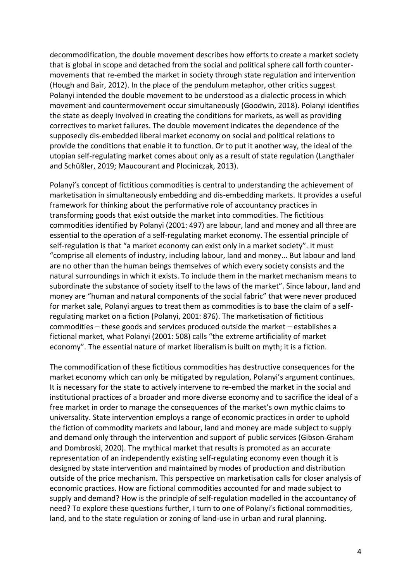decommodification, the double movement describes how efforts to create a market society that is global in scope and detached from the social and political sphere call forth countermovements that re-embed the market in society through state regulation and intervention (Hough and Bair, 2012). In the place of the pendulum metaphor, other critics suggest Polanyi intended the double movement to be understood as a dialectic process in which movement and countermovement occur simultaneously (Goodwin, 2018). Polanyi identifies the state as deeply involved in creating the conditions for markets, as well as providing correctives to market failures. The double movement indicates the dependence of the supposedly dis-embedded liberal market economy on social and political relations to provide the conditions that enable it to function. Or to put it another way, the ideal of the utopian self-regulating market comes about only as a result of state regulation (Langthaler and Schüßler, 2019; Maucourant and Plociniczak, 2013).

Polanyi's concept of fictitious commodities is central to understanding the achievement of marketisation in simultaneously embedding and dis-embedding markets. It provides a useful framework for thinking about the performative role of accountancy practices in transforming goods that exist outside the market into commodities. The fictitious commodities identified by Polanyi (2001: 497) are labour, land and money and all three are essential to the operation of a self-regulating market economy. The essential principle of self-regulation is that "a market economy can exist only in a market society". It must "comprise all elements of industry, including labour, land and money... But labour and land are no other than the human beings themselves of which every society consists and the natural surroundings in which it exists. To include them in the market mechanism means to subordinate the substance of society itself to the laws of the market". Since labour, land and money are "human and natural components of the social fabric" that were never produced for market sale, Polanyi argues to treat them as commodities is to base the claim of a selfregulating market on a fiction (Polanyi, 2001: 876). The marketisation of fictitious commodities – these goods and services produced outside the market – establishes a fictional market, what Polanyi (2001: 508) calls "the extreme artificiality of market economy". The essential nature of market liberalism is built on myth; it is a fiction.

The commodification of these fictitious commodities has destructive consequences for the market economy which can only be mitigated by regulation, Polanyi's argument continues. It is necessary for the state to actively intervene to re-embed the market in the social and institutional practices of a broader and more diverse economy and to sacrifice the ideal of a free market in order to manage the consequences of the market's own mythic claims to universality. State intervention employs a range of economic practices in order to uphold the fiction of commodity markets and labour, land and money are made subject to supply and demand only through the intervention and support of public services (Gibson-Graham and Dombroski, 2020). The mythical market that results is promoted as an accurate representation of an independently existing self-regulating economy even though it is designed by state intervention and maintained by modes of production and distribution outside of the price mechanism. This perspective on marketisation calls for closer analysis of economic practices. How are fictional commodities accounted for and made subject to supply and demand? How is the principle of self-regulation modelled in the accountancy of need? To explore these questions further, I turn to one of Polanyi's fictional commodities, land, and to the state regulation or zoning of land-use in urban and rural planning.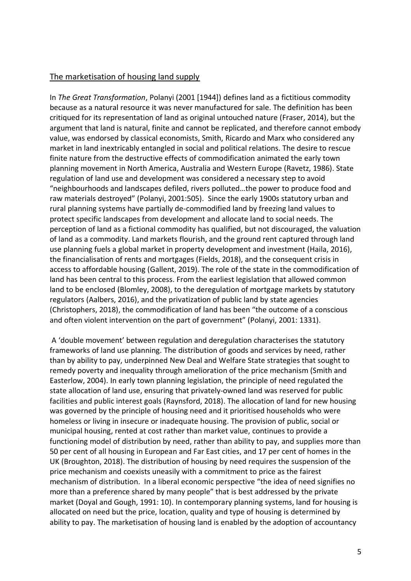# The marketisation of housing land supply

In *The Great Transformation*, Polanyi (2001 [1944]) defines land as a fictitious commodity because as a natural resource it was never manufactured for sale. The definition has been critiqued for its representation of land as original untouched nature (Fraser, 2014), but the argument that land is natural, finite and cannot be replicated, and therefore cannot embody value, was endorsed by classical economists, Smith, Ricardo and Marx who considered any market in land inextricably entangled in social and political relations. The desire to rescue finite nature from the destructive effects of commodification animated the early town planning movement in North America, Australia and Western Europe (Ravetz, 1986). State regulation of land use and development was considered a necessary step to avoid "neighbourhoods and landscapes defiled, rivers polluted…the power to produce food and raw materials destroyed" (Polanyi, 2001:505). Since the early 1900s statutory urban and rural planning systems have partially de-commodified land by freezing land values to protect specific landscapes from development and allocate land to social needs. The perception of land as a fictional commodity has qualified, but not discouraged, the valuation of land as a commodity. Land markets flourish, and the ground rent captured through land use planning fuels a global market in property development and investment (Haila, 2016), the financialisation of rents and mortgages (Fields, 2018), and the consequent crisis in access to affordable housing (Gallent, 2019). The role of the state in the commodification of land has been central to this process. From the earliest legislation that allowed common land to be enclosed (Blomley, 2008), to the deregulation of mortgage markets by statutory regulators (Aalbers, 2016), and the privatization of public land by state agencies (Christophers, 2018), the commodification of land has been "the outcome of a conscious and often violent intervention on the part of government" (Polanyi, 2001: 1331).

A 'double movement' between regulation and deregulation characterises the statutory frameworks of land use planning. The distribution of goods and services by need, rather than by ability to pay, underpinned New Deal and Welfare State strategies that sought to remedy poverty and inequality through amelioration of the price mechanism (Smith and Easterlow, 2004). In early town planning legislation, the principle of need regulated the state allocation of land use, ensuring that privately-owned land was reserved for public facilities and public interest goals (Raynsford, 2018). The allocation of land for new housing was governed by the principle of housing need and it prioritised households who were homeless or living in insecure or inadequate housing. The provision of public, social or municipal housing, rented at cost rather than market value, continues to provide a functioning model of distribution by need, rather than ability to pay, and supplies more than 50 per cent of all housing in European and Far East cities, and 17 per cent of homes in the UK (Broughton, 2018). The distribution of housing by need requires the suspension of the price mechanism and coexists uneasily with a commitment to price as the fairest mechanism of distribution. In a liberal economic perspective "the idea of need signifies no more than a preference shared by many people" that is best addressed by the private market (Doyal and Gough, 1991: 10). In contemporary planning systems, land for housing is allocated on need but the price, location, quality and type of housing is determined by ability to pay. The marketisation of housing land is enabled by the adoption of accountancy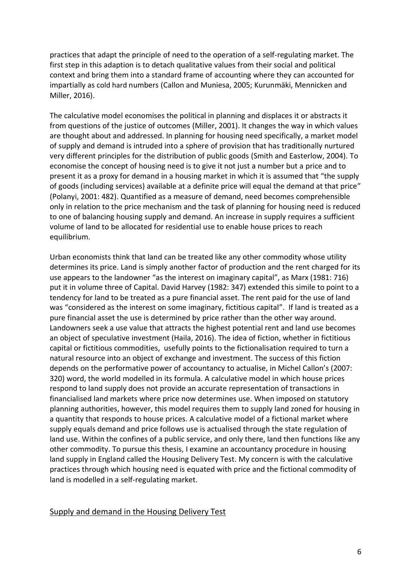practices that adapt the principle of need to the operation of a self-regulating market. The first step in this adaption is to detach qualitative values from their social and political context and bring them into a standard frame of accounting where they can accounted for impartially as cold hard numbers (Callon and Muniesa, 2005; Kurunmäki, Mennicken and Miller, 2016).

The calculative model economises the political in planning and displaces it or abstracts it from questions of the justice of outcomes (Miller, 2001). It changes the way in which values are thought about and addressed. In planning for housing need specifically, a market model of supply and demand is intruded into a sphere of provision that has traditionally nurtured very different principles for the distribution of public goods (Smith and Easterlow, 2004). To economise the concept of housing need is to give it not just a number but a price and to present it as a proxy for demand in a housing market in which it is assumed that "the supply of goods (including services) available at a definite price will equal the demand at that price" (Polanyi, 2001: 482). Quantified as a measure of demand, need becomes comprehensible only in relation to the price mechanism and the task of planning for housing need is reduced to one of balancing housing supply and demand. An increase in supply requires a sufficient volume of land to be allocated for residential use to enable house prices to reach equilibrium.

Urban economists think that land can be treated like any other commodity whose utility determines its price. Land is simply another factor of production and the rent charged for its use appears to the landowner "as the interest on imaginary capital", as Marx (1981: 716) put it in volume three of Capital. David Harvey (1982: 347) extended this simile to point to a tendency for land to be treated as a pure financial asset. The rent paid for the use of land was "considered as the interest on some imaginary, fictitious capital". If land is treated as a pure financial asset the use is determined by price rather than the other way around. Landowners seek a use value that attracts the highest potential rent and land use becomes an object of speculative investment (Haila, 2016). The idea of fiction, whether in fictitious capital or fictitious commodities, usefully points to the fictionalisation required to turn a natural resource into an object of exchange and investment. The success of this fiction depends on the performative power of accountancy to actualise, in Michel Callon's (2007: 320) word, the world modelled in its formula. A calculative model in which house prices respond to land supply does not provide an accurate representation of transactions in financialised land markets where price now determines use. When imposed on statutory planning authorities, however, this model requires them to supply land zoned for housing in a quantity that responds to house prices. A calculative model of a fictional market where supply equals demand and price follows use is actualised through the state regulation of land use. Within the confines of a public service, and only there, land then functions like any other commodity. To pursue this thesis, I examine an accountancy procedure in housing land supply in England called the Housing Delivery Test. My concern is with the calculative practices through which housing need is equated with price and the fictional commodity of land is modelled in a self-regulating market.

#### Supply and demand in the Housing Delivery Test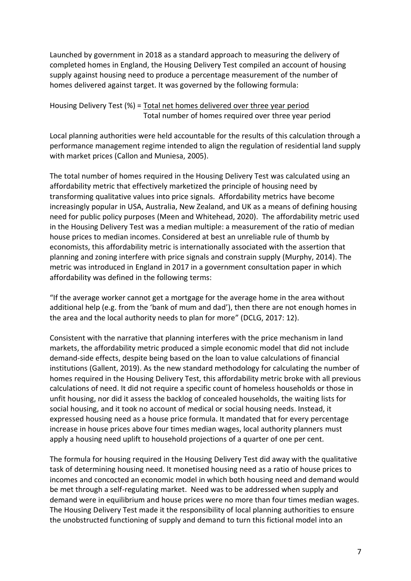Launched by government in 2018 as a standard approach to measuring the delivery of completed homes in England, the Housing Delivery Test compiled an account of housing supply against housing need to produce a percentage measurement of the number of homes delivered against target. It was governed by the following formula:

Housing Delivery Test (%) = Total net homes delivered over three year period Total number of homes required over three year period

Local planning authorities were held accountable for the results of this calculation through a performance management regime intended to align the regulation of residential land supply with market prices (Callon and Muniesa, 2005).

The total number of homes required in the Housing Delivery Test was calculated using an affordability metric that effectively marketized the principle of housing need by transforming qualitative values into price signals. Affordability metrics have become increasingly popular in USA, Australia, New Zealand, and UK as a means of defining housing need for public policy purposes (Meen and Whitehead, 2020). The affordability metric used in the Housing Delivery Test was a median multiple: a measurement of the ratio of median house prices to median incomes. Considered at best an unreliable rule of thumb by economists, this affordability metric is internationally associated with the assertion that planning and zoning interfere with price signals and constrain supply (Murphy, 2014). The metric was introduced in England in 2017 in a government consultation paper in which affordability was defined in the following terms:

"If the average worker cannot get a mortgage for the average home in the area without additional help (e.g. from the 'bank of mum and dad'), then there are not enough homes in the area and the local authority needs to plan for more" (DCLG, 2017: 12).

Consistent with the narrative that planning interferes with the price mechanism in land markets, the affordability metric produced a simple economic model that did not include demand-side effects, despite being based on the loan to value calculations of financial institutions (Gallent, 2019). As the new standard methodology for calculating the number of homes required in the Housing Delivery Test, this affordability metric broke with all previous calculations of need. It did not require a specific count of homeless households or those in unfit housing, nor did it assess the backlog of concealed households, the waiting lists for social housing, and it took no account of medical or social housing needs. Instead, it expressed housing need as a house price formula. It mandated that for every percentage increase in house prices above four times median wages, local authority planners must apply a housing need uplift to household projections of a quarter of one per cent.

The formula for housing required in the Housing Delivery Test did away with the qualitative task of determining housing need. It monetised housing need as a ratio of house prices to incomes and concocted an economic model in which both housing need and demand would be met through a self-regulating market. Need was to be addressed when supply and demand were in equilibrium and house prices were no more than four times median wages. The Housing Delivery Test made it the responsibility of local planning authorities to ensure the unobstructed functioning of supply and demand to turn this fictional model into an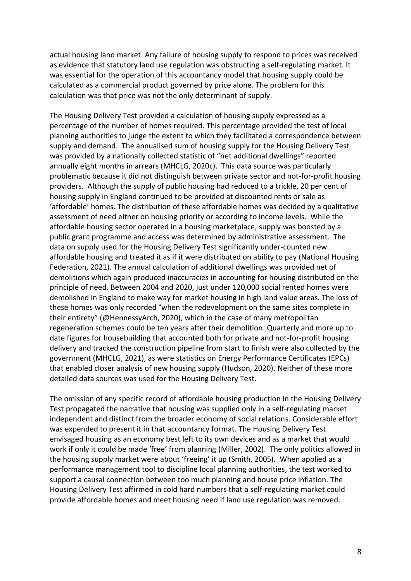actual housing land market. Any failure of housing supply to respond to prices was received as evidence that statutory land use regulation was obstructing a self-regulating market. It was essential for the operation of this accountancy model that housing supply could be calculated as a commercial product governed by price alone. The problem for this calculation was that price was not the only determinant of supply.

The Housing Delivery Test provided a calculation of housing supply expressed as a percentage of the number of homes required. This percentage provided the test of local planning authorities to judge the extent to which they facilitated a correspondence between supply and demand. The annualised sum of housing supply for the Housing Delivery Test was provided by a nationally collected statistic of "net additional dwellings" reported annually eight months in arrears (MHCLG, 2020c). This data source was particularly problematic because it did not distinguish between private sector and not-for-profit housing providers. Although the supply of public housing had reduced to a trickle, 20 per cent of housing supply in England continued to be provided at discounted rents or sale as 'affordable' homes. The distribution of these affordable homes was decided by a qualitative assessment of need either on housing priority or according to income levels. While the affordable housing sector operated in a housing marketplace, supply was boosted by a public grant programme and access was determined by administrative assessment. The data on supply used for the Housing Delivery Test significantly under-counted new affordable housing and treated it as if it were distributed on ability to pay (National Housing Federation, 2021). The annual calculation of additional dwellings was provided net of demolitions which again produced inaccuracies in accounting for housing distributed on the principle of need. Between 2004 and 2020, just under 120,000 social rented homes were demolished in England to make way for market housing in high land value areas. The loss of these homes was only recorded "when the redevelopment on the same sites complete in their entirety" (@HennessyArch, 2020), which in the case of many metropolitan regeneration schemes could be ten years after their demolition. Quarterly and more up to date figures for housebuilding that accounted both for private and not-for-profit housing delivery and tracked the construction pipeline from start to finish were also collected by the government (MHCLG, 2021), as were statistics on Energy Performance Certificates (EPCs) that enabled closer analysis of new housing supply (Hudson, 2020). Neither of these more detailed data sources was used for the Housing Delivery Test.

The omission of any specific record of affordable housing production in the Housing Delivery Test propagated the narrative that housing was supplied only in a self-regulating market independent and distinct from the broader economy of social relations. Considerable effort was expended to present it in that accountancy format. The Housing Delivery Test envisaged housing as an economy best left to its own devices and as a market that would work if only it could be made 'free' from planning (Miller, 2002). The only politics allowed in the housing supply market were about 'freeing' it up (Smith, 2005). When applied as a performance management tool to discipline local planning authorities, the test worked to support a causal connection between too much planning and house price inflation. The Housing Delivery Test affirmed in cold hard numbers that a self-regulating market could provide affordable homes and meet housing need if land use regulation was removed.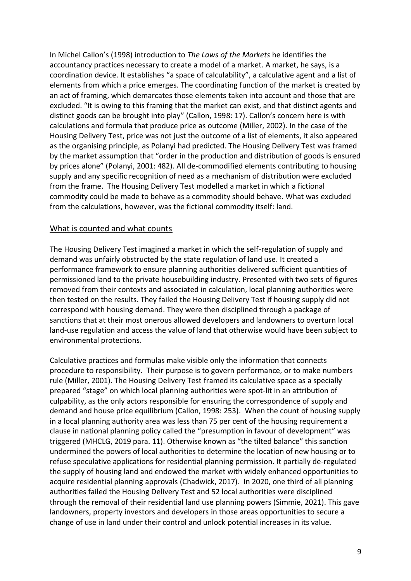In Michel Callon's (1998) introduction to *The Laws of the Markets* he identifies the accountancy practices necessary to create a model of a market. A market, he says, is a coordination device. It establishes "a space of calculability", a calculative agent and a list of elements from which a price emerges. The coordinating function of the market is created by an act of framing, which demarcates those elements taken into account and those that are excluded. "It is owing to this framing that the market can exist, and that distinct agents and distinct goods can be brought into play" (Callon, 1998: 17). Callon's concern here is with calculations and formula that produce price as outcome (Miller, 2002). In the case of the Housing Delivery Test, price was not just the outcome of a list of elements, it also appeared as the organising principle, as Polanyi had predicted. The Housing Delivery Test was framed by the market assumption that "order in the production and distribution of goods is ensured by prices alone" (Polanyi, 2001: 482). All de-commodified elements contributing to housing supply and any specific recognition of need as a mechanism of distribution were excluded from the frame. The Housing Delivery Test modelled a market in which a fictional commodity could be made to behave as a commodity should behave. What was excluded from the calculations, however, was the fictional commodity itself: land.

#### What is counted and what counts

The Housing Delivery Test imagined a market in which the self-regulation of supply and demand was unfairly obstructed by the state regulation of land use. It created a performance framework to ensure planning authorities delivered sufficient quantities of permissioned land to the private housebuilding industry. Presented with two sets of figures removed from their contexts and associated in calculation, local planning authorities were then tested on the results. They failed the Housing Delivery Test if housing supply did not correspond with housing demand. They were then disciplined through a package of sanctions that at their most onerous allowed developers and landowners to overturn local land-use regulation and access the value of land that otherwise would have been subject to environmental protections.

Calculative practices and formulas make visible only the information that connects procedure to responsibility. Their purpose is to govern performance, or to make numbers rule (Miller, 2001). The Housing Delivery Test framed its calculative space as a specially prepared "stage" on which local planning authorities were spot-lit in an attribution of culpability, as the only actors responsible for ensuring the correspondence of supply and demand and house price equilibrium (Callon, 1998: 253). When the count of housing supply in a local planning authority area was less than 75 per cent of the housing requirement a clause in national planning policy called the "presumption in favour of development" was triggered (MHCLG, 2019 para. 11). Otherwise known as "the tilted balance" this sanction undermined the powers of local authorities to determine the location of new housing or to refuse speculative applications for residential planning permission. It partially de-regulated the supply of housing land and endowed the market with widely enhanced opportunities to acquire residential planning approvals (Chadwick, 2017). In 2020, one third of all planning authorities failed the Housing Delivery Test and 52 local authorities were disciplined through the removal of their residential land use planning powers (Simmie, 2021). This gave landowners, property investors and developers in those areas opportunities to secure a change of use in land under their control and unlock potential increases in its value.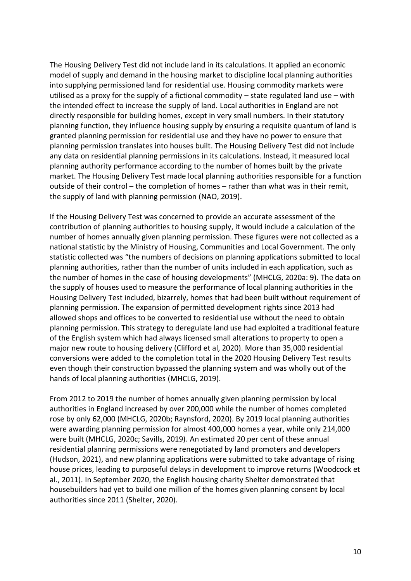The Housing Delivery Test did not include land in its calculations. It applied an economic model of supply and demand in the housing market to discipline local planning authorities into supplying permissioned land for residential use. Housing commodity markets were utilised as a proxy for the supply of a fictional commodity – state regulated land use – with the intended effect to increase the supply of land. Local authorities in England are not directly responsible for building homes, except in very small numbers. In their statutory planning function, they influence housing supply by ensuring a requisite quantum of land is granted planning permission for residential use and they have no power to ensure that planning permission translates into houses built. The Housing Delivery Test did not include any data on residential planning permissions in its calculations. Instead, it measured local planning authority performance according to the number of homes built by the private market. The Housing Delivery Test made local planning authorities responsible for a function outside of their control – the completion of homes – rather than what was in their remit, the supply of land with planning permission (NAO, 2019).

If the Housing Delivery Test was concerned to provide an accurate assessment of the contribution of planning authorities to housing supply, it would include a calculation of the number of homes annually given planning permission. These figures were not collected as a national statistic by the Ministry of Housing, Communities and Local Government. The only statistic collected was "the numbers of decisions on planning applications submitted to local planning authorities, rather than the number of units included in each application, such as the number of homes in the case of housing developments" (MHCLG, 2020a: 9). The data on the supply of houses used to measure the performance of local planning authorities in the Housing Delivery Test included, bizarrely, homes that had been built without requirement of planning permission. The expansion of permitted development rights since 2013 had allowed shops and offices to be converted to residential use without the need to obtain planning permission. This strategy to deregulate land use had exploited a traditional feature of the English system which had always licensed small alterations to property to open a major new route to housing delivery (Clifford et al, 2020). More than 35,000 residential conversions were added to the completion total in the 2020 Housing Delivery Test results even though their construction bypassed the planning system and was wholly out of the hands of local planning authorities (MHCLG, 2019).

From 2012 to 2019 the number of homes annually given planning permission by local authorities in England increased by over 200,000 while the number of homes completed rose by only 62,000 (MHCLG, 2020b; Raynsford, 2020). By 2019 local planning authorities were awarding planning permission for almost 400,000 homes a year, while only 214,000 were built (MHCLG, 2020c; Savills, 2019). An estimated 20 per cent of these annual residential planning permissions were renegotiated by land promoters and developers (Hudson, 2021), and new planning applications were submitted to take advantage of rising house prices, leading to purposeful delays in development to improve returns (Woodcock et al., 2011). In September 2020, the English housing charity Shelter demonstrated that housebuilders had yet to build one million of the homes given planning consent by local authorities since 2011 (Shelter, 2020).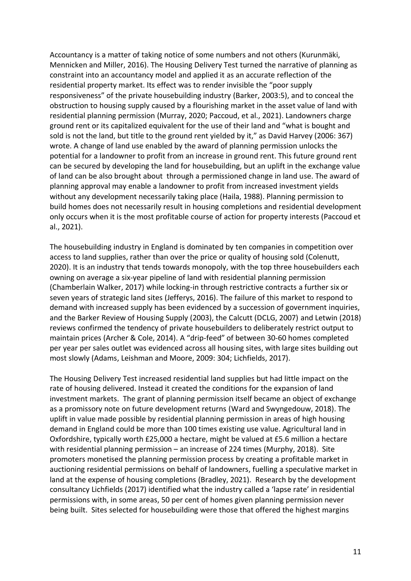Accountancy is a matter of taking notice of some numbers and not others (Kurunmäki, Mennicken and Miller, 2016). The Housing Delivery Test turned the narrative of planning as constraint into an accountancy model and applied it as an accurate reflection of the residential property market. Its effect was to render invisible the "poor supply responsiveness" of the private housebuilding industry (Barker, 2003:5), and to conceal the obstruction to housing supply caused by a flourishing market in the asset value of land with residential planning permission (Murray, 2020; Paccoud, et al., 2021). Landowners charge ground rent or its capitalized equivalent for the use of their land and "what is bought and sold is not the land, but title to the ground rent yielded by it," as David Harvey (2006: 367) wrote. A change of land use enabled by the award of planning permission unlocks the potential for a landowner to profit from an increase in ground rent. This future ground rent can be secured by developing the land for housebuilding, but an uplift in the exchange value of land can be also brought about through a permissioned change in land use. The award of planning approval may enable a landowner to profit from increased investment yields without any development necessarily taking place (Haila, 1988). Planning permission to build homes does not necessarily result in housing completions and residential development only occurs when it is the most profitable course of action for property interests (Paccoud et al., 2021).

The housebuilding industry in England is dominated by ten companies in competition over access to land supplies, rather than over the price or quality of housing sold (Colenutt, 2020). It is an industry that tends towards monopoly, with the top three housebuilders each owning on average a six-year pipeline of land with residential planning permission (Chamberlain Walker, 2017) while locking-in through restrictive contracts a further six or seven years of strategic land sites (Jefferys, 2016). The failure of this market to respond to demand with increased supply has been evidenced by a succession of government inquiries, and the Barker Review of Housing Supply (2003), the Calcutt (DCLG, 2007) and Letwin (2018) reviews confirmed the tendency of private housebuilders to deliberately restrict output to maintain prices (Archer & Cole, 2014). A "drip-feed" of between 30-60 homes completed per year per sales outlet was evidenced across all housing sites, with large sites building out most slowly (Adams, Leishman and Moore, 2009: 304; Lichfields, 2017).

The Housing Delivery Test increased residential land supplies but had little impact on the rate of housing delivered. Instead it created the conditions for the expansion of land investment markets. The grant of planning permission itself became an object of exchange as a promissory note on future development returns (Ward and Swyngedouw, 2018). The uplift in value made possible by residential planning permission in areas of high housing demand in England could be more than 100 times existing use value. Agricultural land in Oxfordshire, typically worth £25,000 a hectare, might be valued at £5.6 million a hectare with residential planning permission – an increase of 224 times (Murphy, 2018). Site promoters monetised the planning permission process by creating a profitable market in auctioning residential permissions on behalf of landowners, fuelling a speculative market in land at the expense of housing completions (Bradley, 2021). Research by the development consultancy Lichfields (2017) identified what the industry called a 'lapse rate' in residential permissions with, in some areas, 50 per cent of homes given planning permission never being built. Sites selected for housebuilding were those that offered the highest margins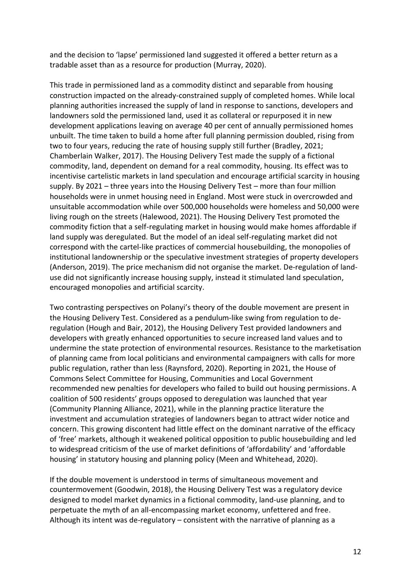and the decision to 'lapse' permissioned land suggested it offered a better return as a tradable asset than as a resource for production (Murray, 2020).

This trade in permissioned land as a commodity distinct and separable from housing construction impacted on the already-constrained supply of completed homes. While local planning authorities increased the supply of land in response to sanctions, developers and landowners sold the permissioned land, used it as collateral or repurposed it in new development applications leaving on average 40 per cent of annually permissioned homes unbuilt. The time taken to build a home after full planning permission doubled, rising from two to four years, reducing the rate of housing supply still further (Bradley, 2021; Chamberlain Walker, 2017). The Housing Delivery Test made the supply of a fictional commodity, land, dependent on demand for a real commodity, housing. Its effect was to incentivise cartelistic markets in land speculation and encourage artificial scarcity in housing supply. By 2021 – three years into the Housing Delivery Test – more than four million households were in unmet housing need in England. Most were stuck in overcrowded and unsuitable accommodation while over 500,000 households were homeless and 50,000 were living rough on the streets (Halewood, 2021). The Housing Delivery Test promoted the commodity fiction that a self-regulating market in housing would make homes affordable if land supply was deregulated. But the model of an ideal self-regulating market did not correspond with the cartel-like practices of commercial housebuilding, the monopolies of institutional landownership or the speculative investment strategies of property developers (Anderson, 2019). The price mechanism did not organise the market. De-regulation of landuse did not significantly increase housing supply, instead it stimulated land speculation, encouraged monopolies and artificial scarcity.

Two contrasting perspectives on Polanyi's theory of the double movement are present in the Housing Delivery Test. Considered as a pendulum-like swing from regulation to deregulation (Hough and Bair, 2012), the Housing Delivery Test provided landowners and developers with greatly enhanced opportunities to secure increased land values and to undermine the state protection of environmental resources. Resistance to the marketisation of planning came from local politicians and environmental campaigners with calls for more public regulation, rather than less (Raynsford, 2020). Reporting in 2021, the House of Commons Select Committee for Housing, Communities and Local Government recommended new penalties for developers who failed to build out housing permissions. A coalition of 500 residents' groups opposed to deregulation was launched that year (Community Planning Alliance, 2021), while in the planning practice literature the investment and accumulation strategies of landowners began to attract wider notice and concern. This growing discontent had little effect on the dominant narrative of the efficacy of 'free' markets, although it weakened political opposition to public housebuilding and led to widespread criticism of the use of market definitions of 'affordability' and 'affordable housing' in statutory housing and planning policy (Meen and Whitehead, 2020).

If the double movement is understood in terms of simultaneous movement and countermovement (Goodwin, 2018), the Housing Delivery Test was a regulatory device designed to model market dynamics in a fictional commodity, land-use planning, and to perpetuate the myth of an all-encompassing market economy, unfettered and free. Although its intent was de-regulatory – consistent with the narrative of planning as a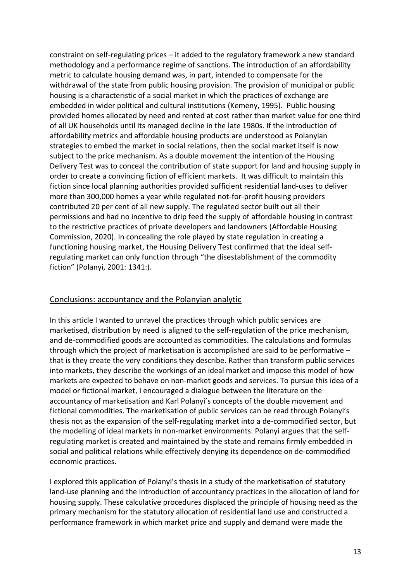constraint on self-regulating prices – it added to the regulatory framework a new standard methodology and a performance regime of sanctions. The introduction of an affordability metric to calculate housing demand was, in part, intended to compensate for the withdrawal of the state from public housing provision. The provision of municipal or public housing is a characteristic of a social market in which the practices of exchange are embedded in wider political and cultural institutions (Kemeny, 1995). Public housing provided homes allocated by need and rented at cost rather than market value for one third of all UK households until its managed decline in the late 1980s. If the introduction of affordability metrics and affordable housing products are understood as Polanyian strategies to embed the market in social relations, then the social market itself is now subject to the price mechanism. As a double movement the intention of the Housing Delivery Test was to conceal the contribution of state support for land and housing supply in order to create a convincing fiction of efficient markets. It was difficult to maintain this fiction since local planning authorities provided sufficient residential land-uses to deliver more than 300,000 homes a year while regulated not-for-profit housing providers contributed 20 per cent of all new supply. The regulated sector built out all their permissions and had no incentive to drip feed the supply of affordable housing in contrast to the restrictive practices of private developers and landowners (Affordable Housing Commission, 2020). In concealing the role played by state regulation in creating a functioning housing market, the Housing Delivery Test confirmed that the ideal selfregulating market can only function through "the disestablishment of the commodity fiction" (Polanyi, 2001: 1341:).

# Conclusions: accountancy and the Polanyian analytic

In this article I wanted to unravel the practices through which public services are marketised, distribution by need is aligned to the self-regulation of the price mechanism, and de-commodified goods are accounted as commodities. The calculations and formulas through which the project of marketisation is accomplished are said to be performative – that is they create the very conditions they describe. Rather than transform public services into markets, they describe the workings of an ideal market and impose this model of how markets are expected to behave on non-market goods and services. To pursue this idea of a model or fictional market, I encouraged a dialogue between the literature on the accountancy of marketisation and Karl Polanyi's concepts of the double movement and fictional commodities. The marketisation of public services can be read through Polanyi's thesis not as the expansion of the self-regulating market into a de-commodified sector, but the modelling of ideal markets in non-market environments. Polanyi argues that the selfregulating market is created and maintained by the state and remains firmly embedded in social and political relations while effectively denying its dependence on de-commodified economic practices.

I explored this application of Polanyi's thesis in a study of the marketisation of statutory land-use planning and the introduction of accountancy practices in the allocation of land for housing supply. These calculative procedures displaced the principle of housing need as the primary mechanism for the statutory allocation of residential land use and constructed a performance framework in which market price and supply and demand were made the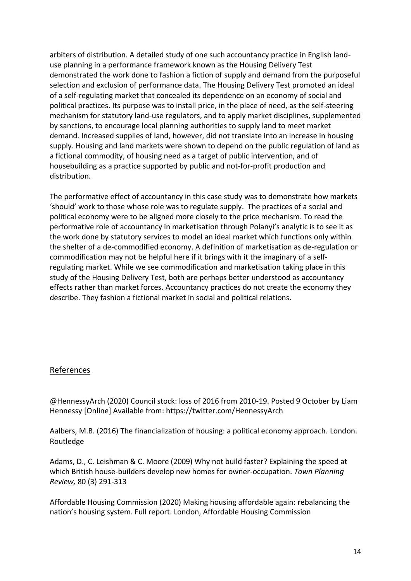arbiters of distribution. A detailed study of one such accountancy practice in English landuse planning in a performance framework known as the Housing Delivery Test demonstrated the work done to fashion a fiction of supply and demand from the purposeful selection and exclusion of performance data. The Housing Delivery Test promoted an ideal of a self-regulating market that concealed its dependence on an economy of social and political practices. Its purpose was to install price, in the place of need, as the self-steering mechanism for statutory land-use regulators, and to apply market disciplines, supplemented by sanctions, to encourage local planning authorities to supply land to meet market demand. Increased supplies of land, however, did not translate into an increase in housing supply. Housing and land markets were shown to depend on the public regulation of land as a fictional commodity, of housing need as a target of public intervention, and of housebuilding as a practice supported by public and not-for-profit production and distribution.

The performative effect of accountancy in this case study was to demonstrate how markets 'should' work to those whose role was to regulate supply. The practices of a social and political economy were to be aligned more closely to the price mechanism. To read the performative role of accountancy in marketisation through Polanyi's analytic is to see it as the work done by statutory services to model an ideal market which functions only within the shelter of a de-commodified economy. A definition of marketisation as de-regulation or commodification may not be helpful here if it brings with it the imaginary of a selfregulating market. While we see commodification and marketisation taking place in this study of the Housing Delivery Test, both are perhaps better understood as accountancy effects rather than market forces. Accountancy practices do not create the economy they describe. They fashion a fictional market in social and political relations.

# References

@HennessyArch (2020) Council stock: loss of 2016 from 2010-19. Posted 9 October by Liam Hennessy [Online] Available from: https://twitter.com/HennessyArch

Aalbers, M.B. (2016) The financialization of housing: a political economy approach*.* London. Routledge

Adams, D., C. Leishman & C. Moore (2009) Why not build faster? Explaining the speed at which British house-builders develop new homes for owner-occupation. *Town Planning Review,* 80 (3) 291-313

Affordable Housing Commission (2020) Making housing affordable again: rebalancing the nation's housing system. Full report. London, Affordable Housing Commission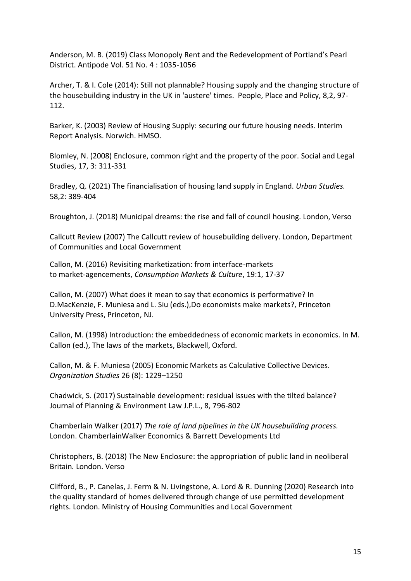Anderson, M. B. (2019) Class Monopoly Rent and the Redevelopment of Portland's Pearl District. Antipode Vol. 51 No. 4 : 1035-1056

Archer, T. & I. Cole (2014): Still not plannable? Housing supply and the changing structure of the housebuilding industry in the UK in 'austere' times. People, Place and Policy, 8,2, 97- 112.

Barker, K. (2003) Review of Housing Supply: securing our future housing needs. Interim Report Analysis. Norwich. HMSO.

Blomley, N. (2008) Enclosure, common right and the property of the poor. Social and Legal Studies, 17, 3: 311-331

Bradley, Q. (2021) The financialisation of housing land supply in England. *Urban Studies.* 58,2: 389-404

Broughton, J. (2018) Municipal dreams: the rise and fall of council housing. London, Verso

Callcutt Review (2007) The Callcutt review of housebuilding delivery. London, Department of Communities and Local Government

Callon, M. (2016) Revisiting marketization: from interface-markets to market-agencements, *Consumption Markets & Culture*, 19:1, 17-37

Callon, M. (2007) What does it mean to say that economics is performative? In D.MacKenzie, F. Muniesa and L. Siu (eds.),Do economists make markets?, Princeton University Press, Princeton, NJ.

Callon, M. (1998) Introduction: the embeddedness of economic markets in economics. In M. Callon (ed.), The laws of the markets, Blackwell, Oxford.

Callon, M. & F. Muniesa (2005) Economic Markets as Calculative Collective Devices. *Organization Studies* 26 (8): 1229–1250

Chadwick, S. (2017) Sustainable development: residual issues with the tilted balance? Journal of Planning & Environment Law J.P.L., 8, 796-802

Chamberlain Walker (2017) *The role of land pipelines in the UK housebuilding process.* London. ChamberlainWalker Economics & Barrett Developments Ltd

Christophers, B. (2018) The New Enclosure: the appropriation of public land in neoliberal Britain*.* London. Verso

Clifford, B., P. Canelas, J. Ferm & N. Livingstone, A. Lord & R. Dunning (2020) Research into the quality standard of homes delivered through change of use permitted development rights. London. Ministry of Housing Communities and Local Government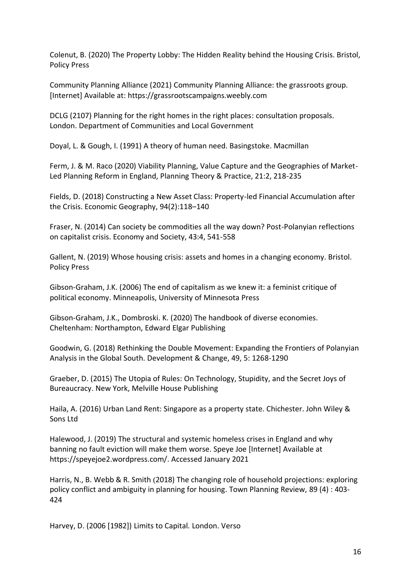Colenut, B. (2020) The Property Lobby: The Hidden Reality behind the Housing Crisis. Bristol, Policy Press

Community Planning Alliance (2021) Community Planning Alliance: the grassroots group. [Internet] Available at: https://grassrootscampaigns.weebly.com

DCLG (2107) Planning for the right homes in the right places: consultation proposals. London. Department of Communities and Local Government

Doyal, L. & Gough, I. (1991) A theory of human need. Basingstoke. Macmillan

Ferm, J. & M. Raco (2020) Viability Planning, Value Capture and the Geographies of Market-Led Planning Reform in England, Planning Theory & Practice, 21:2, 218-235

Fields, D. (2018) Constructing a New Asset Class: Property-led Financial Accumulation after the Crisis. Economic Geography, 94(2):118–140

Fraser, N. (2014) Can society be commodities all the way down? Post-Polanyian reflections on capitalist crisis. Economy and Society, 43:4, 541-558

Gallent, N. (2019) Whose housing crisis: assets and homes in a changing economy. Bristol. Policy Press

Gibson-Graham, J.K. (2006) The end of capitalism as we knew it: a feminist critique of political economy. Minneapolis, University of Minnesota Press

Gibson-Graham, J.K., Dombroski. K. (2020) The handbook of diverse economies. Cheltenham: Northampton, Edward Elgar Publishing

Goodwin, G. (2018) Rethinking the Double Movement: Expanding the Frontiers of Polanyian Analysis in the Global South. Development & Change, 49, 5: 1268-1290

Graeber, D. (2015) The Utopia of Rules: On Technology, Stupidity, and the Secret Joys of Bureaucracy. New York, Melville House Publishing

Haila, A. (2016) Urban Land Rent: Singapore as a property state. Chichester. John Wiley & Sons Ltd

Halewood, J. (2019) The structural and systemic homeless crises in England and why banning no fault eviction will make them worse. Speye Joe [Internet] Available at https://speyejoe2.wordpress.com/. Accessed January 2021

Harris, N., B. Webb & R. Smith (2018) The changing role of household projections: exploring policy conflict and ambiguity in planning for housing. Town Planning Review, 89 (4) : 403- 424

Harvey, D. (2006 [1982]) Limits to Capital*.* London. Verso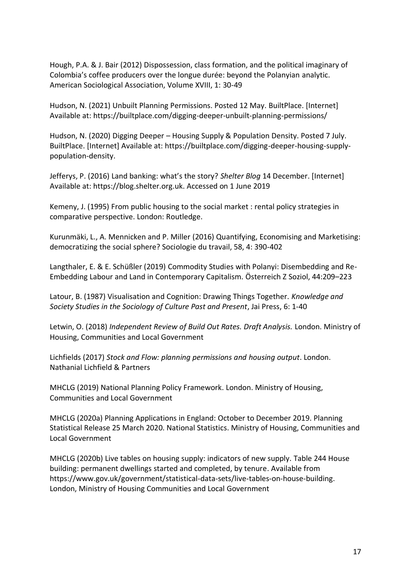Hough, P.A. & J. Bair (2012) Dispossession, class formation, and the political imaginary of Colombia's coffee producers over the longue durée: beyond the Polanyian analytic. American Sociological Association, Volume XVIII, 1: 30-49

Hudson, N. (2021) Unbuilt Planning Permissions. Posted 12 May. BuiltPlace. [Internet] Available at: https://builtplace.com/digging-deeper-unbuilt-planning-permissions/

Hudson, N. (2020) Digging Deeper – Housing Supply & Population Density. Posted 7 July. BuiltPlace. [Internet] Available at: https://builtplace.com/digging-deeper-housing-supplypopulation-density.

Jefferys, P. (2016) Land banking: what's the story? *Shelter Blog* 14 December. [Internet] Available at: https://blog.shelter.org.uk. Accessed on 1 June 2019

Kemeny, J. (1995) From public housing to the social market : rental policy strategies in comparative perspective. London: Routledge.

Kurunmäki, L., A. Mennicken and P. Miller (2016) Quantifying, Economising and Marketising: democratizing the social sphere? Sociologie du travail, 58, 4: 390-402

Langthaler, E. & E. Schüßler (2019) Commodity Studies with Polanyi: Disembedding and Re-Embedding Labour and Land in Contemporary Capitalism. Österreich Z Soziol, 44:209–223

Latour, B. (1987) Visualisation and Cognition: Drawing Things Together. *Knowledge and Society Studies in the Sociology of Culture Past and Present*, Jai Press, 6: 1-40

Letwin, O. (2018) *Independent Review of Build Out Rates. Draft Analysis.* London. Ministry of Housing, Communities and Local Government

Lichfields (2017) *Stock and Flow: planning permissions and housing output*. London. Nathanial Lichfield & Partners

MHCLG (2019) National Planning Policy Framework. London. Ministry of Housing, Communities and Local Government

MHCLG (2020a) Planning Applications in England: October to December 2019. Planning Statistical Release 25 March 2020. National Statistics. Ministry of Housing, Communities and Local Government

MHCLG (2020b) Live tables on housing supply: indicators of new supply. Table 244 House building: permanent dwellings started and completed, by tenure. Available from https://www.gov.uk/government/statistical-data-sets/live-tables-on-house-building. London, Ministry of Housing Communities and Local Government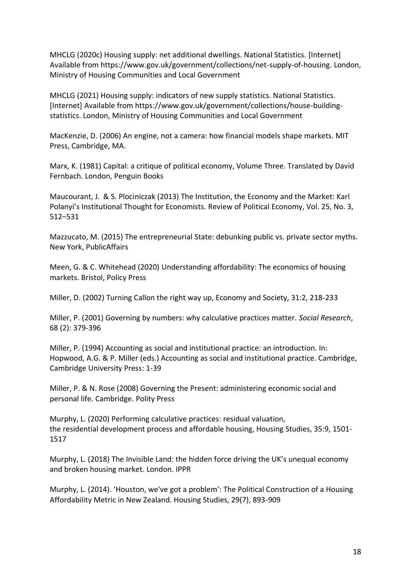MHCLG (2020c) Housing supply: net additional dwellings. National Statistics. [Internet] Available from https://www.gov.uk/government/collections/net-supply-of-housing. London, Ministry of Housing Communities and Local Government

MHCLG (2021) Housing supply: indicators of new supply statistics. National Statistics. [Internet] Available from https://www.gov.uk/government/collections/house-buildingstatistics. London, Ministry of Housing Communities and Local Government

MacKenzie, D. (2006) An engine, not a camera: how financial models shape markets. MIT Press, Cambridge, MA.

Marx, K. (1981) Capital: a critique of political economy, Volume Three. Translated by David Fernbach. London, Penguin Books

Maucourant, J. & S. Plociniczak (2013) The Institution, the Economy and the Market: Karl Polanyi's Institutional Thought for Economists. Review of Political Economy, Vol. 25, No. 3, 512–531

Mazzucato, M. (2015) The entrepreneurial State: debunking public vs. private sector myths. New York, PublicAffairs

Meen, G. & C. Whitehead (2020) Understanding affordability: The economics of housing markets. Bristol, Policy Press

Miller, D. (2002) Turning Callon the right way up, Economy and Society, 31:2, 218-233

Miller, P. (2001) Governing by numbers: why calculative practices matter. *Social Research*, 68 (2): 379-396

Miller, P. (1994) Accounting as social and institutional practice: an introduction. In: Hopwood, A.G. & P. Miller (eds.) Accounting as social and institutional practice. Cambridge, Cambridge University Press: 1-39

Miller, P. & N. Rose (2008) Governing the Present: administering economic social and personal life. Cambridge. Polity Press

Murphy, L. (2020) Performing calculative practices: residual valuation, the residential development process and affordable housing, Housing Studies, 35:9, 1501- 1517

Murphy, L. (2018) The Invisible Land: the hidden force driving the UK's unequal economy and broken housing market*.* London. IPPR

Murphy, L. (2014). 'Houston, we've got a problem': The Political Construction of a Housing Affordability Metric in New Zealand. Housing Studies, 29(7), 893-909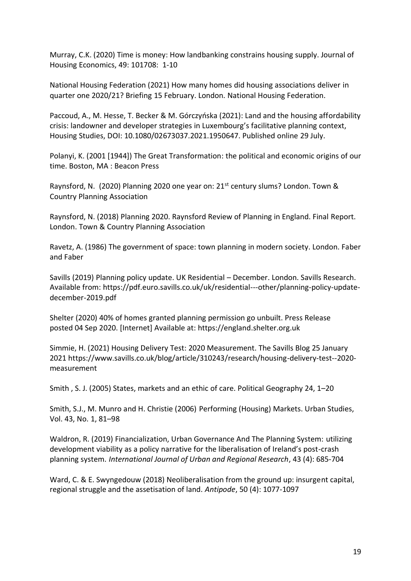Murray, C.K. (2020) Time is money: How landbanking constrains housing supply. Journal of Housing Economics, 49: 101708: 1-10

National Housing Federation (2021) How many homes did housing associations deliver in quarter one 2020/21? Briefing 15 February. London. National Housing Federation.

Paccoud, A., M. Hesse, T. Becker & M. Górczyńska (2021): Land and the housing affordability crisis: landowner and developer strategies in Luxembourg's facilitative planning context, Housing Studies, DOI: 10.1080/02673037.2021.1950647. Published online 29 July.

Polanyi, K. (2001 [1944]) The Great Transformation: the political and economic origins of our time. Boston, MA : Beacon Press

Raynsford, N. (2020) Planning 2020 one year on: 21<sup>st</sup> century slums? London. Town & Country Planning Association

Raynsford, N. (2018) Planning 2020. Raynsford Review of Planning in England. Final Report. London. Town & Country Planning Association

Ravetz, A. (1986) The government of space: town planning in modern society. London. Faber and Faber

Savills (2019) Planning policy update. UK Residential – December. London. Savills Research. Available from: https://pdf.euro.savills.co.uk/uk/residential---other/planning-policy-updatedecember-2019.pdf

Shelter (2020) 40% of homes granted planning permission go unbuilt. Press Release posted 04 Sep 2020. [Internet] Available at: https://england.shelter.org.uk

Simmie, H. (2021) Housing Delivery Test: 2020 Measurement. The Savills Blog 25 January 2021 https://www.savills.co.uk/blog/article/310243/research/housing-delivery-test--2020 measurement

Smith , S. J. (2005) States, markets and an ethic of care. Political Geography 24, 1–20

Smith, S.J., M. Munro and H. Christie (2006) Performing (Housing) Markets. Urban Studies, Vol. 43, No. 1, 81–98

Waldron, R. (2019) Financialization, Urban Governance And The Planning System: utilizing development viability as a policy narrative for the liberalisation of Ireland's post-crash planning system. *International Journal of Urban and Regional Research*, 43 (4): 685-704

Ward, C. & E. Swyngedouw (2018) Neoliberalisation from the ground up: insurgent capital, regional struggle and the assetisation of land. *Antipode*, 50 (4): 1077-1097